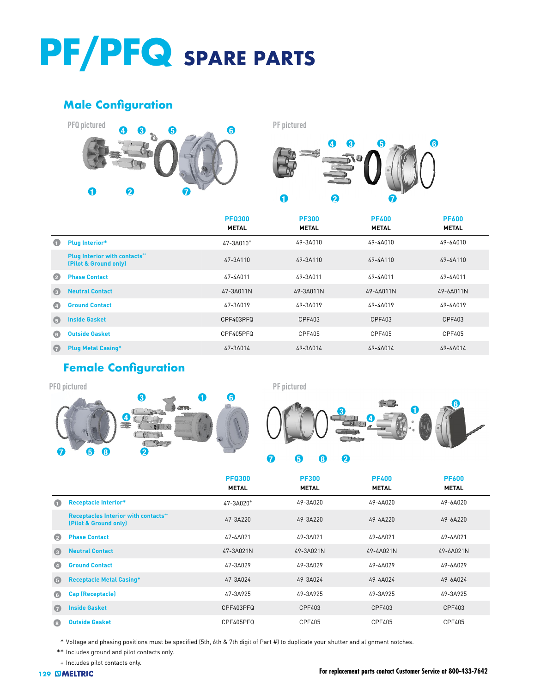## **PF/PFQ SPARE PARTS**

## **Male Configuration**





|            |                                                              | <b>PFQ300</b><br><b>METAL</b> | <b>PF300</b><br><b>METAL</b> | <b>PF400</b><br><b>METAL</b> | <b>PF600</b><br><b>METAL</b> |
|------------|--------------------------------------------------------------|-------------------------------|------------------------------|------------------------------|------------------------------|
| O          | <b>Plug Interior*</b>                                        | $47 - 3A010^+$                | 49-3A010                     | 49-4A010                     | 49-6A010                     |
|            | <b>Plug Interior with contacts"</b><br>(Pilot & Ground only) | 47-3A110                      | 49-3A110                     | 49-4A110                     | 49-6A110                     |
| Ø          | <b>Phase Contact</b>                                         | 47-4A011                      | 49-3A011                     | 49-4A011                     | 49-6A011                     |
| $\odot$    | <b>Neutral Contact</b>                                       | 47-3A011N                     | 49-3A011N                    | 49-4A011N                    | 49-6A011N                    |
| $\bullet$  | <b>Ground Contact</b>                                        | 47-3A019                      | 49-3A019                     | 49-4A019                     | 49-6A019                     |
| $\left($   | <b>Inside Gasket</b>                                         | CPF403PFQ                     | CPF403                       | CPF403                       | CPF403                       |
| $\bigodot$ | <b>Outside Gasket</b>                                        | CPF405PFQ                     | CPF405                       | CPF405                       | CPF405                       |
| $\bullet$  | <b>Plug Metal Casing*</b>                                    | 47-3A014                      | 49-3A014                     | 49-4A014                     | 49-6A014                     |

## **Female Configuration**





|             |                                                                     | <b>PFQ300</b><br><b>METAL</b> | <b>PF300</b><br><b>METAL</b> | <b>PF400</b><br><b>METAL</b> | <b>PF600</b><br><b>METAL</b> |
|-------------|---------------------------------------------------------------------|-------------------------------|------------------------------|------------------------------|------------------------------|
| $\bullet$   | <b>Receptacle Interior*</b>                                         | $47 - 3A020$ <sup>+</sup>     | 49-3A020                     | 49-4A020                     | 49-6A020                     |
|             | <b>Receptacles Interior with contacts"</b><br>(Pilot & Ground only) | 47-3A220                      | 49-3A220                     | 49-4A220                     | 49-6A220                     |
| $\bullet$   | <b>Phase Contact</b>                                                | 47-4A021                      | 49-3A021                     | 49-4A021                     | 49-6A021                     |
| $\bullet$   | <b>Neutral Contact</b>                                              | 47-3A021N                     | 49-3A021N                    | 49-4A021N                    | 49-6A021N                    |
| $\bullet$   | <b>Ground Contact</b>                                               | 47-3A029                      | 49-3A029                     | 49-4A029                     | 49-6A029                     |
| $\bigoplus$ | <b>Receptacle Metal Casing*</b>                                     | 47-3A024                      | 49-3A024                     | 49-4A024                     | 49-6A024                     |
| $\bigcirc$  | <b>Cap (Receptacle)</b>                                             | 47-3A925                      | 49-3A925                     | 49-3A925                     | 49-3A925                     |
| $\bullet$   | <b>Inside Gasket</b>                                                | CPF403PFQ                     | CPF403                       | CPF403                       | CPF403                       |
| $\bigcirc$  | <b>Outside Gasket</b>                                               | CPF405PFQ                     | CPF405                       | CPF405                       | CPF405                       |

\* Voltage and phasing positions must be specified (5th, 6th & 7th digit of Part #) to duplicate your shutter and alignment notches.

\*\* Includes ground and pilot contacts only.

+ [Includes pilot c](https://www.meltric.com)ontacts only.